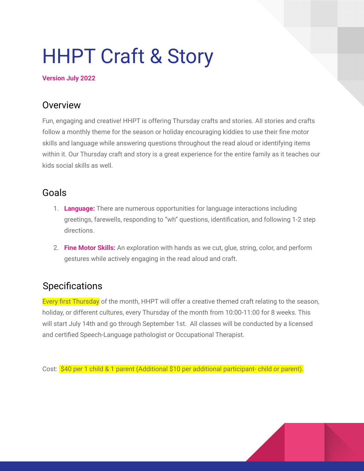# HHPT Craft & Story

#### **Version July 2022**

## **Overview**

Fun, engaging and creative! HHPT is offering Thursday crafts and stories. All stories and crafts follow a monthly theme for the season or holiday encouraging kiddies to use their fine motor skills and language while answering questions throughout the read aloud or identifying items within it. Our Thursday craft and story is a great experience for the entire family as it teaches our kids social skills as well.

## Goals

- 1. **Language:** There are numerous opportunities for language interactions including greetings, farewells, responding to "wh" questions, identification, and following 1-2 step directions.
- 2. **Fine Motor Skills:** An exploration with hands as we cut, glue, string, color, and perform gestures while actively engaging in the read aloud and craft.

## Specifications

Every first Thursday of the month, HHPT will offer a creative themed craft relating to the season, holiday, or different cultures, every Thursday of the month from 10:00-11:00 for 8 weeks. This will start July 14th and go through September 1st. All classes will be conducted by a licensed and certified Speech-Language pathologist or Occupational Therapist.

Cost: \$40 per 1 child & 1 parent (Additional \$10 per additional participant- child or parent).